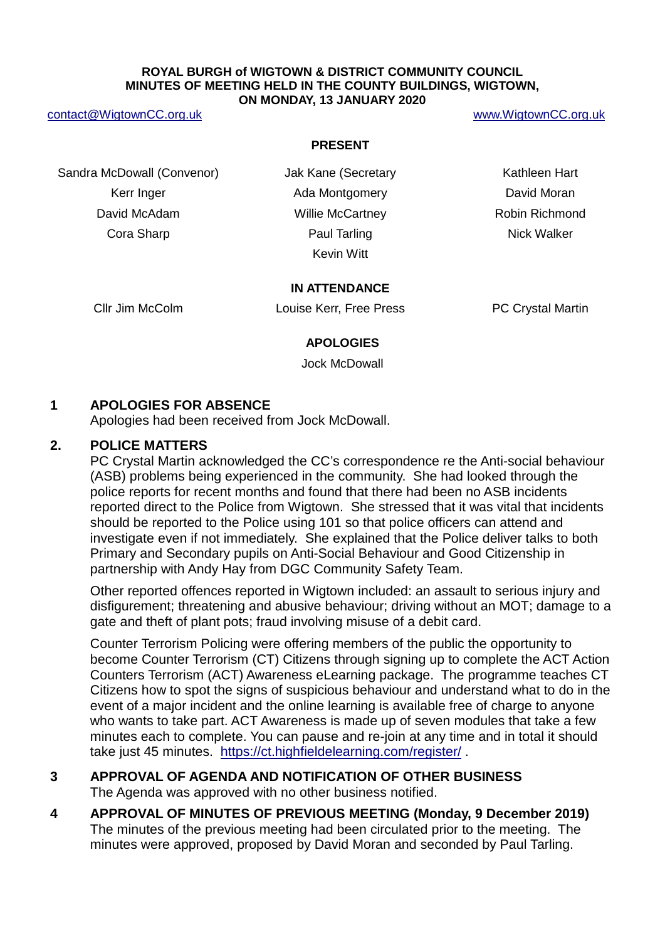#### **ROYAL BURGH of WIGTOWN & DISTRICT COMMUNITY COUNCIL MINUTES OF MEETING HELD IN THE COUNTY BUILDINGS, WIGTOWN, ON MONDAY, 13 JANUARY 2020**

#### [contact@WigtownCC.org.uk](mailto:contact@WigtownCC.org.uk) [www.WigtownCC.org.uk](http://www.wigtowncc.org.uk/)

#### **PRESENT**

Sandra McDowall (Convenor) Jak Kane (Secretary Kathleen Hart Kerr Inger **Ada Montgomery Containers** David Moran David McAdam **Mathem Communist Communist Communist Communist Communist Communist Communist Communist Communist Communist Communist Communist Communist Communist Communist Communist Communist Communist Communist Communist C** 

**Cora Sharp**  Paul Tarling **Paul Tarling Cora Sharp Allows** Nick Walker Kevin Witt

#### **IN ATTENDANCE**

Cllr Jim McColm Louise Kerr, Free Press PC Crystal Martin

#### **APOLOGIES**

Jock McDowall

## **1 APOLOGIES FOR ABSENCE**

Apologies had been received from Jock McDowall.

#### **2. POLICE MATTERS**

PC Crystal Martin acknowledged the CC's correspondence re the Anti-social behaviour (ASB) problems being experienced in the community. She had looked through the police reports for recent months and found that there had been no ASB incidents reported direct to the Police from Wigtown. She stressed that it was vital that incidents should be reported to the Police using 101 so that police officers can attend and investigate even if not immediately. She explained that the Police deliver talks to both Primary and Secondary pupils on Anti-Social Behaviour and Good Citizenship in partnership with Andy Hay from DGC Community Safety Team.

Other reported offences reported in Wigtown included: an assault to serious injury and disfigurement; threatening and abusive behaviour; driving without an MOT; damage to a gate and theft of plant pots; fraud involving misuse of a debit card.

Counter Terrorism Policing were offering members of the public the opportunity to become Counter Terrorism (CT) Citizens through signing up to complete the ACT Action Counters Terrorism (ACT) Awareness eLearning package. The programme teaches CT Citizens how to spot the signs of suspicious behaviour and understand what to do in the event of a major incident and the online learning is available free of charge to anyone who wants to take part. ACT Awareness is made up of seven modules that take a few minutes each to complete. You can pause and re-join at any time and in total it should take just 45 minutes. <https://ct.highfieldelearning.com/register/> .

## **3 APPROVAL OF AGENDA AND NOTIFICATION OF OTHER BUSINESS** The Agenda was approved with no other business notified.

## **4 APPROVAL OF MINUTES OF PREVIOUS MEETING (Monday, 9 December 2019)** The minutes of the previous meeting had been circulated prior to the meeting. The minutes were approved, proposed by David Moran and seconded by Paul Tarling.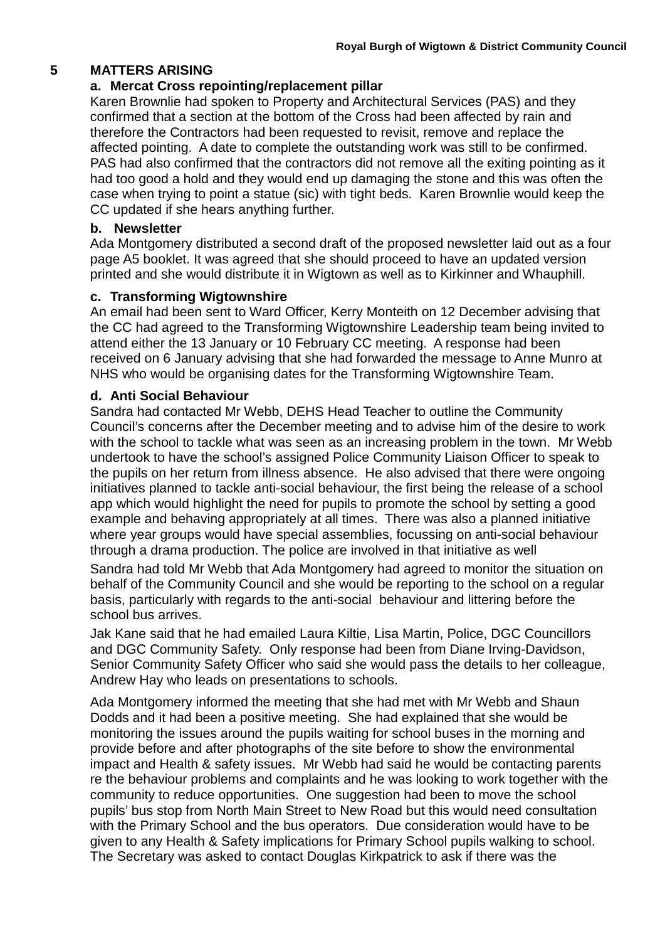## **5 MATTERS ARISING**

## **a. Mercat Cross repointing/replacement pillar**

Karen Brownlie had spoken to Property and Architectural Services (PAS) and they confirmed that a section at the bottom of the Cross had been affected by rain and therefore the Contractors had been requested to revisit, remove and replace the affected pointing. A date to complete the outstanding work was still to be confirmed. PAS had also confirmed that the contractors did not remove all the exiting pointing as it had too good a hold and they would end up damaging the stone and this was often the case when trying to point a statue (sic) with tight beds. Karen Brownlie would keep the CC updated if she hears anything further.

## **b. Newsletter**

Ada Montgomery distributed a second draft of the proposed newsletter laid out as a four page A5 booklet. It was agreed that she should proceed to have an updated version printed and she would distribute it in Wigtown as well as to Kirkinner and Whauphill.

## **c. Transforming Wigtownshire**

An email had been sent to Ward Officer, Kerry Monteith on 12 December advising that the CC had agreed to the Transforming Wigtownshire Leadership team being invited to attend either the 13 January or 10 February CC meeting. A response had been received on 6 January advising that she had forwarded the message to Anne Munro at NHS who would be organising dates for the Transforming Wigtownshire Team.

## **d. Anti Social Behaviour**

Sandra had contacted Mr Webb, DEHS Head Teacher to outline the Community Council's concerns after the December meeting and to advise him of the desire to work with the school to tackle what was seen as an increasing problem in the town. Mr Webb undertook to have the school's assigned Police Community Liaison Officer to speak to the pupils on her return from illness absence. He also advised that there were ongoing initiatives planned to tackle anti-social behaviour, the first being the release of a school app which would highlight the need for pupils to promote the school by setting a good example and behaving appropriately at all times. There was also a planned initiative where year groups would have special assemblies, focussing on anti-social behaviour through a drama production. The police are involved in that initiative as well

Sandra had told Mr Webb that Ada Montgomery had agreed to monitor the situation on behalf of the Community Council and she would be reporting to the school on a regular basis, particularly with regards to the anti-social behaviour and littering before the school bus arrives.

Jak Kane said that he had emailed Laura Kiltie, Lisa Martin, Police, DGC Councillors and DGC Community Safety. Only response had been from Diane Irving-Davidson, Senior Community Safety Officer who said she would pass the details to her colleague, Andrew Hay who leads on presentations to schools.

Ada Montgomery informed the meeting that she had met with Mr Webb and Shaun Dodds and it had been a positive meeting. She had explained that she would be monitoring the issues around the pupils waiting for school buses in the morning and provide before and after photographs of the site before to show the environmental impact and Health & safety issues. Mr Webb had said he would be contacting parents re the behaviour problems and complaints and he was looking to work together with the community to reduce opportunities. One suggestion had been to move the school pupils' bus stop from North Main Street to New Road but this would need consultation with the Primary School and the bus operators. Due consideration would have to be given to any Health & Safety implications for Primary School pupils walking to school. The Secretary was asked to contact Douglas Kirkpatrick to ask if there was the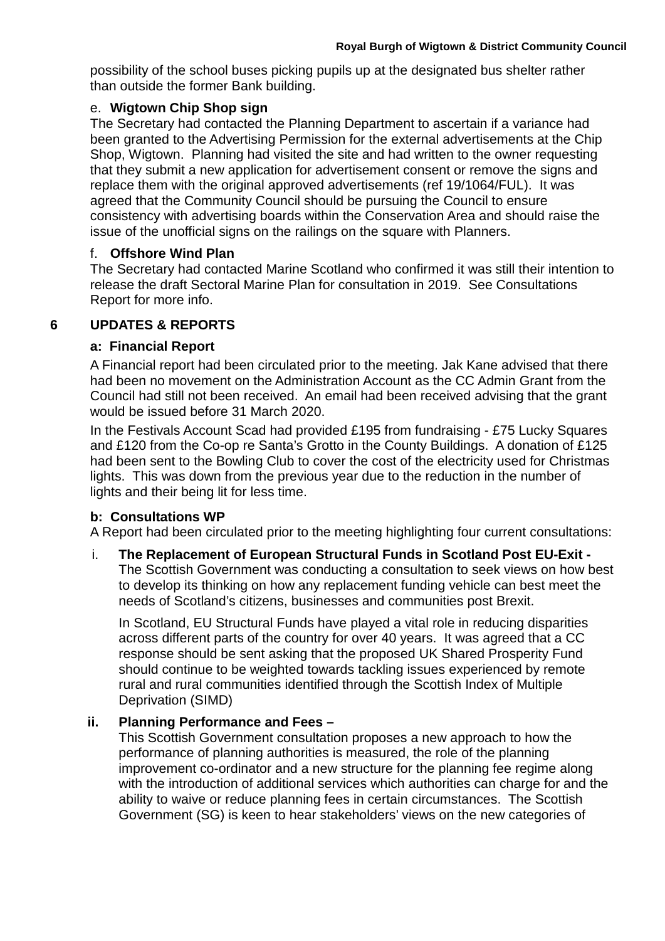possibility of the school buses picking pupils up at the designated bus shelter rather than outside the former Bank building.

## e. **Wigtown Chip Shop sign**

The Secretary had contacted the Planning Department to ascertain if a variance had been granted to the Advertising Permission for the external advertisements at the Chip Shop, Wigtown. Planning had visited the site and had written to the owner requesting that they submit a new application for advertisement consent or remove the signs and replace them with the original approved advertisements (ref 19/1064/FUL). It was agreed that the Community Council should be pursuing the Council to ensure consistency with advertising boards within the Conservation Area and should raise the issue of the unofficial signs on the railings on the square with Planners.

## f. **Offshore Wind Plan**

The Secretary had contacted Marine Scotland who confirmed it was still their intention to release the draft Sectoral Marine Plan for consultation in 2019. See Consultations Report for more info.

## **6 UPDATES & REPORTS**

## **a: Financial Report**

A Financial report had been circulated prior to the meeting. Jak Kane advised that there had been no movement on the Administration Account as the CC Admin Grant from the Council had still not been received. An email had been received advising that the grant would be issued before 31 March 2020.

In the Festivals Account Scad had provided £195 from fundraising - £75 Lucky Squares and £120 from the Co-op re Santa's Grotto in the County Buildings. A donation of £125 had been sent to the Bowling Club to cover the cost of the electricity used for Christmas lights. This was down from the previous year due to the reduction in the number of lights and their being lit for less time.

# **b: Consultations WP**

A Report had been circulated prior to the meeting highlighting four current consultations:

## i. **The Replacement of European Structural Funds in Scotland Post EU-Exit -** The Scottish Government was conducting a consultation to seek views on how best to develop its thinking on how any replacement funding vehicle can best meet the needs of Scotland's citizens, businesses and communities post Brexit.

In Scotland, EU Structural Funds have played a vital role in reducing disparities across different parts of the country for over 40 years. It was agreed that a CC response should be sent asking that the proposed UK Shared Prosperity Fund should continue to be weighted towards tackling issues experienced by remote rural and rural communities identified through the Scottish Index of Multiple Deprivation (SIMD)

# **ii. Planning Performance and Fees –**

This Scottish Government consultation proposes a new approach to how the performance of planning authorities is measured, the role of the planning improvement co-ordinator and a new structure for the planning fee regime along with the introduction of additional services which authorities can charge for and the ability to waive or reduce planning fees in certain circumstances. The Scottish Government (SG) is keen to hear stakeholders' views on the new categories of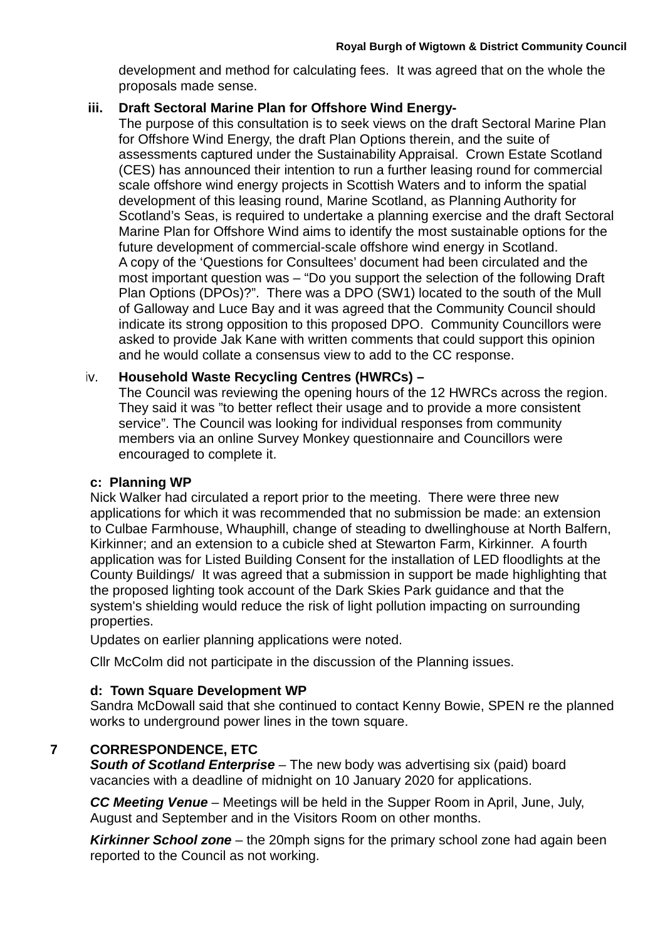development and method for calculating fees. It was agreed that on the whole the proposals made sense.

## **iii. Draft Sectoral Marine Plan for Offshore Wind Energy-**

The purpose of this consultation is to seek views on the draft Sectoral Marine Plan for Offshore Wind Energy, the draft Plan Options therein, and the suite of assessments captured under the Sustainability Appraisal. Crown Estate Scotland (CES) has announced their intention to run a further leasing round for commercial scale offshore wind energy projects in Scottish Waters and to inform the spatial development of this leasing round, Marine Scotland, as Planning Authority for Scotland's Seas, is required to undertake a planning exercise and the draft Sectoral Marine Plan for Offshore Wind aims to identify the most sustainable options for the future development of commercial-scale offshore wind energy in Scotland. A copy of the 'Questions for Consultees' document had been circulated and the most important question was – "Do you support the selection of the following Draft Plan Options (DPOs)?". There was a DPO (SW1) located to the south of the Mull of Galloway and Luce Bay and it was agreed that the Community Council should indicate its strong opposition to this proposed DPO. Community Councillors were asked to provide Jak Kane with written comments that could support this opinion and he would collate a consensus view to add to the CC response.

## iv. **Household Waste Recycling Centres (HWRCs) –**

The Council was reviewing the opening hours of the 12 HWRCs across the region. They said it was "to better reflect their usage and to provide a more consistent service". The Council was looking for individual responses from community members via an online Survey Monkey questionnaire and Councillors were encouraged to complete it.

## **c: Planning WP**

Nick Walker had circulated a report prior to the meeting. There were three new applications for which it was recommended that no submission be made: an extension to Culbae Farmhouse, Whauphill, change of steading to dwellinghouse at North Balfern, Kirkinner; and an extension to a cubicle shed at Stewarton Farm, Kirkinner. A fourth application was for Listed Building Consent for the installation of LED floodlights at the County Buildings/ It was agreed that a submission in support be made highlighting that the proposed lighting took account of the Dark Skies Park guidance and that the system's shielding would reduce the risk of light pollution impacting on surrounding properties.

Updates on earlier planning applications were noted.

Cllr McColm did not participate in the discussion of the Planning issues.

## **d: Town Square Development WP**

Sandra McDowall said that she continued to contact Kenny Bowie, SPEN re the planned works to underground power lines in the town square.

# **7 CORRESPONDENCE, ETC**

*South of Scotland Enterprise* – The new body was advertising six (paid) board vacancies with a deadline of midnight on 10 January 2020 for applications.

*CC Meeting Venue* – Meetings will be held in the Supper Room in April, June, July, August and September and in the Visitors Room on other months.

*Kirkinner School zone* – the 20mph signs for the primary school zone had again been reported to the Council as not working.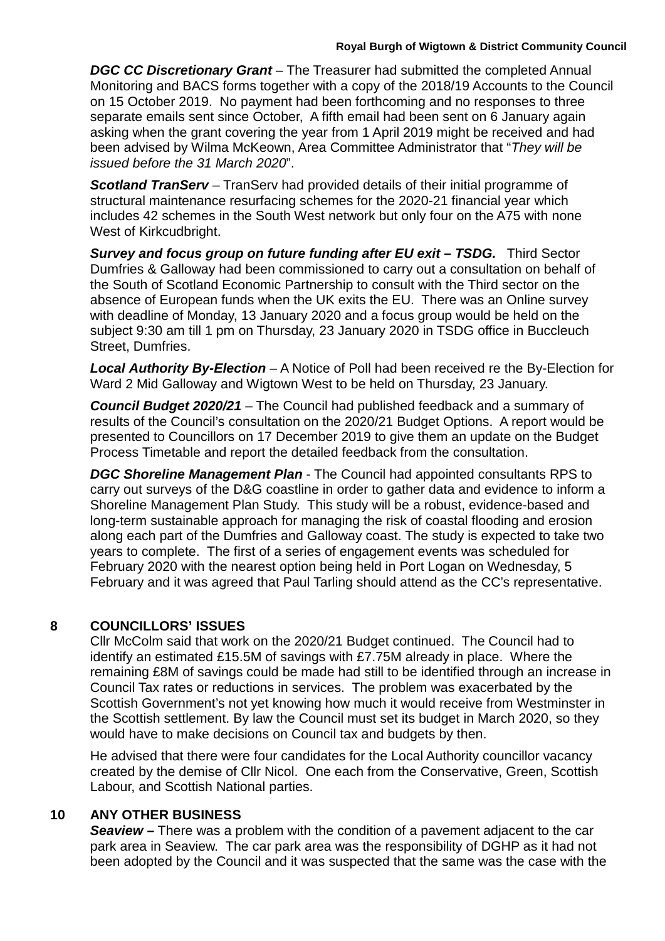**DGC CC Discretionary Grant** – The Treasurer had submitted the completed Annual Monitoring and BACS forms together with a copy of the 2018/19 Accounts to the Council on 15 October 2019. No payment had been forthcoming and no responses to three separate emails sent since October, A fifth email had been sent on 6 January again asking when the grant covering the year from 1 April 2019 might be received and had been advised by Wilma McKeown, Area Committee Administrator that "*They will be issued before the 31 March 2020*".

**Scotland TranServ** – TranServ had provided details of their initial programme of structural maintenance resurfacing schemes for the 2020-21 financial year which includes 42 schemes in the South West network but only four on the A75 with none West of Kirkcudbright.

*Survey and focus group on future funding after EU exit – TSDG.* Third Sector Dumfries & Galloway had been commissioned to carry out a consultation on behalf of the South of Scotland Economic Partnership to consult with the Third sector on the absence of European funds when the UK exits the EU. There was an Online survey with deadline of Monday, 13 January 2020 and a focus group would be held on the subject 9:30 am till 1 pm on Thursday, 23 January 2020 in TSDG office in Buccleuch Street, Dumfries.

*Local Authority By-Election* – A Notice of Poll had been received re the By-Election for Ward 2 Mid Galloway and Wigtown West to be held on Thursday, 23 January.

*Council Budget 2020/21* – The Council had published feedback and a summary of results of the Council's consultation on the 2020/21 Budget Options. A report would be presented to Councillors on 17 December 2019 to give them an update on the Budget Process Timetable and report the detailed feedback from the consultation.

*DGC Shoreline Management Plan* - The Council had appointed consultants RPS to carry out surveys of the D&G coastline in order to gather data and evidence to inform a Shoreline Management Plan Study. This study will be a robust, evidence-based and long-term sustainable approach for managing the risk of coastal flooding and erosion along each part of the Dumfries and Galloway coast. The study is expected to take two years to complete. The first of a series of engagement events was scheduled for February 2020 with the nearest option being held in Port Logan on Wednesday, 5 February and it was agreed that Paul Tarling should attend as the CC's representative.

# **8 COUNCILLORS' ISSUES**

Cllr McColm said that work on the 2020/21 Budget continued. The Council had to identify an estimated £15.5M of savings with £7.75M already in place. Where the remaining £8M of savings could be made had still to be identified through an increase in Council Tax rates or reductions in services. The problem was exacerbated by the Scottish Government's not yet knowing how much it would receive from Westminster in the Scottish settlement. By law the Council must set its budget in March 2020, so they would have to make decisions on Council tax and budgets by then.

He advised that there were four candidates for the Local Authority councillor vacancy created by the demise of Cllr Nicol. One each from the Conservative, Green, Scottish Labour, and Scottish National parties.

# **10 ANY OTHER BUSINESS**

*Seaview –* There was a problem with the condition of a pavement adjacent to the car park area in Seaview. The car park area was the responsibility of DGHP as it had not been adopted by the Council and it was suspected that the same was the case with the